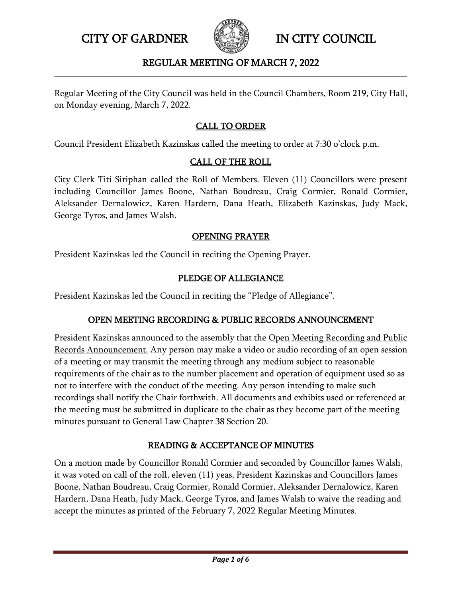

### REGULAR MEETING OF MARCH 7, 2022 **\_\_\_\_\_\_\_\_\_\_\_\_\_\_\_\_\_\_\_\_\_\_\_\_\_\_\_\_\_\_\_\_\_\_\_\_\_\_\_\_\_\_\_\_\_\_\_\_\_\_\_\_\_\_\_\_\_\_\_\_\_\_\_\_\_\_\_\_\_\_\_\_\_\_\_\_\_\_\_\_\_\_\_\_\_**

Regular Meeting of the City Council was held in the Council Chambers, Room 219, City Hall, on Monday evening, March 7, 2022.

## CALL TO ORDER

Council President Elizabeth Kazinskas called the meeting to order at 7:30 o'clock p.m.

### CALL OF THE ROLL

City Clerk Titi Siriphan called the Roll of Members. Eleven (11) Councillors were present including Councillor James Boone, Nathan Boudreau, Craig Cormier, Ronald Cormier, Aleksander Dernalowicz, Karen Hardern, Dana Heath, Elizabeth Kazinskas, Judy Mack, George Tyros, and James Walsh.

### OPENING PRAYER

President Kazinskas led the Council in reciting the Opening Prayer.

### PLEDGE OF ALLEGIANCE

President Kazinskas led the Council in reciting the "Pledge of Allegiance".

## OPEN MEETING RECORDING & PUBLIC RECORDS ANNOUNCEMENT

President Kazinskas announced to the assembly that the Open Meeting Recording and Public Records Announcement. Any person may make a video or audio recording of an open session of a meeting or may transmit the meeting through any medium subject to reasonable requirements of the chair as to the number placement and operation of equipment used so as not to interfere with the conduct of the meeting. Any person intending to make such recordings shall notify the Chair forthwith. All documents and exhibits used or referenced at the meeting must be submitted in duplicate to the chair as they become part of the meeting minutes pursuant to General Law Chapter 38 Section 20.

# READING & ACCEPTANCE OF MINUTES

On a motion made by Councillor Ronald Cormier and seconded by Councillor James Walsh, it was voted on call of the roll, eleven (11) yeas, President Kazinskas and Councillors James Boone, Nathan Boudreau, Craig Cormier, Ronald Cormier, Aleksander Dernalowicz, Karen Hardern, Dana Heath, Judy Mack, George Tyros, and James Walsh to waive the reading and accept the minutes as printed of the February 7, 2022 Regular Meeting Minutes.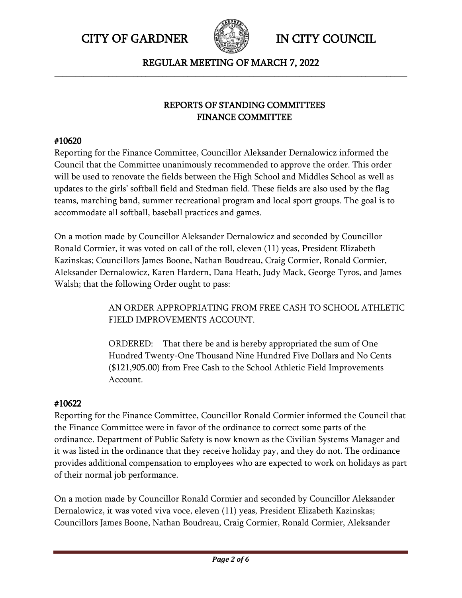

REGULAR MEETING OF MARCH 7, 2022 **\_\_\_\_\_\_\_\_\_\_\_\_\_\_\_\_\_\_\_\_\_\_\_\_\_\_\_\_\_\_\_\_\_\_\_\_\_\_\_\_\_\_\_\_\_\_\_\_\_\_\_\_\_\_\_\_\_\_\_\_\_\_\_\_\_\_\_\_\_\_\_\_\_\_\_\_\_\_\_\_\_\_\_\_\_**

## REPORTS OF STANDING COMMITTEES FINANCE COMMITTEE

### #10620

Reporting for the Finance Committee, Councillor Aleksander Dernalowicz informed the Council that the Committee unanimously recommended to approve the order. This order will be used to renovate the fields between the High School and Middles School as well as updates to the girls' softball field and Stedman field. These fields are also used by the flag teams, marching band, summer recreational program and local sport groups. The goal is to accommodate all softball, baseball practices and games.

On a motion made by Councillor Aleksander Dernalowicz and seconded by Councillor Ronald Cormier, it was voted on call of the roll, eleven (11) yeas, President Elizabeth Kazinskas; Councillors James Boone, Nathan Boudreau, Craig Cormier, Ronald Cormier, Aleksander Dernalowicz, Karen Hardern, Dana Heath, Judy Mack, George Tyros, and James Walsh; that the following Order ought to pass:

> AN ORDER APPROPRIATING FROM FREE CASH TO SCHOOL ATHLETIC FIELD IMPROVEMENTS ACCOUNT.

ORDERED: That there be and is hereby appropriated the sum of One Hundred Twenty-One Thousand Nine Hundred Five Dollars and No Cents (\$121,905.00) from Free Cash to the School Athletic Field Improvements Account.

## #10622

Reporting for the Finance Committee, Councillor Ronald Cormier informed the Council that the Finance Committee were in favor of the ordinance to correct some parts of the ordinance. Department of Public Safety is now known as the Civilian Systems Manager and it was listed in the ordinance that they receive holiday pay, and they do not. The ordinance provides additional compensation to employees who are expected to work on holidays as part of their normal job performance.

On a motion made by Councillor Ronald Cormier and seconded by Councillor Aleksander Dernalowicz, it was voted viva voce, eleven (11) yeas, President Elizabeth Kazinskas; Councillors James Boone, Nathan Boudreau, Craig Cormier, Ronald Cormier, Aleksander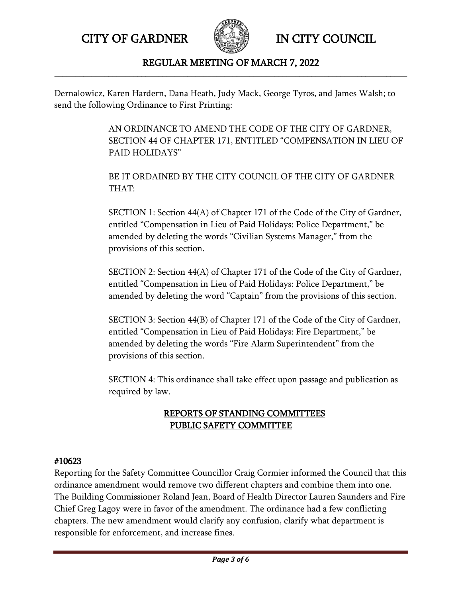

### REGULAR MEETING OF MARCH 7, 2022 **\_\_\_\_\_\_\_\_\_\_\_\_\_\_\_\_\_\_\_\_\_\_\_\_\_\_\_\_\_\_\_\_\_\_\_\_\_\_\_\_\_\_\_\_\_\_\_\_\_\_\_\_\_\_\_\_\_\_\_\_\_\_\_\_\_\_\_\_\_\_\_\_\_\_\_\_\_\_\_\_\_\_\_\_\_**

Dernalowicz, Karen Hardern, Dana Heath, Judy Mack, George Tyros, and James Walsh; to send the following Ordinance to First Printing:

> AN ORDINANCE TO AMEND THE CODE OF THE CITY OF GARDNER, SECTION 44 OF CHAPTER 171, ENTITLED "COMPENSATION IN LIEU OF PAID HOLIDAYS"

BE IT ORDAINED BY THE CITY COUNCIL OF THE CITY OF GARDNER THAT:

SECTION 1: Section 44(A) of Chapter 171 of the Code of the City of Gardner, entitled "Compensation in Lieu of Paid Holidays: Police Department," be amended by deleting the words "Civilian Systems Manager," from the provisions of this section.

SECTION 2: Section 44(A) of Chapter 171 of the Code of the City of Gardner, entitled "Compensation in Lieu of Paid Holidays: Police Department," be amended by deleting the word "Captain" from the provisions of this section.

SECTION 3: Section 44(B) of Chapter 171 of the Code of the City of Gardner, entitled "Compensation in Lieu of Paid Holidays: Fire Department," be amended by deleting the words "Fire Alarm Superintendent" from the provisions of this section.

SECTION 4: This ordinance shall take effect upon passage and publication as required by law.

## REPORTS OF STANDING COMMITTEES PUBLIC SAFETY COMMITTEE

### #10623

Reporting for the Safety Committee Councillor Craig Cormier informed the Council that this ordinance amendment would remove two different chapters and combine them into one. The Building Commissioner Roland Jean, Board of Health Director Lauren Saunders and Fire Chief Greg Lagoy were in favor of the amendment. The ordinance had a few conflicting chapters. The new amendment would clarify any confusion, clarify what department is responsible for enforcement, and increase fines.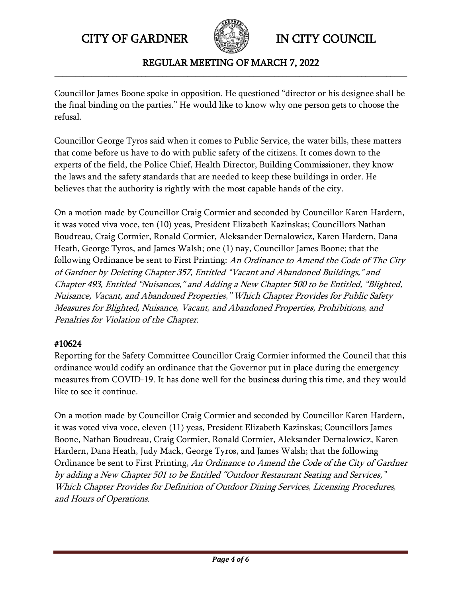

REGULAR MEETING OF MARCH 7, 2022 **\_\_\_\_\_\_\_\_\_\_\_\_\_\_\_\_\_\_\_\_\_\_\_\_\_\_\_\_\_\_\_\_\_\_\_\_\_\_\_\_\_\_\_\_\_\_\_\_\_\_\_\_\_\_\_\_\_\_\_\_\_\_\_\_\_\_\_\_\_\_\_\_\_\_\_\_\_\_\_\_\_\_\_\_\_**

Councillor James Boone spoke in opposition. He questioned "director or his designee shall be the final binding on the parties." He would like to know why one person gets to choose the refusal.

Councillor George Tyros said when it comes to Public Service, the water bills, these matters that come before us have to do with public safety of the citizens. It comes down to the experts of the field, the Police Chief, Health Director, Building Commissioner, they know the laws and the safety standards that are needed to keep these buildings in order. He believes that the authority is rightly with the most capable hands of the city.

On a motion made by Councillor Craig Cormier and seconded by Councillor Karen Hardern, it was voted viva voce, ten (10) yeas, President Elizabeth Kazinskas; Councillors Nathan Boudreau, Craig Cormier, Ronald Cormier, Aleksander Dernalowicz, Karen Hardern, Dana Heath, George Tyros, and James Walsh; one (1) nay, Councillor James Boone; that the following Ordinance be sent to First Printing: An Ordinance to Amend the Code of The City of Gardner by Deleting Chapter 357, Entitled "Vacant and Abandoned Buildings," and Chapter 493, Entitled "Nuisances," and Adding a New Chapter 500 to be Entitled, "Blighted, Nuisance, Vacant, and Abandoned Properties," Which Chapter Provides for Public Safety Measures for Blighted, Nuisance, Vacant, and Abandoned Properties, Prohibitions, and Penalties for Violation of the Chapter.

## #10624

Reporting for the Safety Committee Councillor Craig Cormier informed the Council that this ordinance would codify an ordinance that the Governor put in place during the emergency measures from COVID-19. It has done well for the business during this time, and they would like to see it continue.

On a motion made by Councillor Craig Cormier and seconded by Councillor Karen Hardern, it was voted viva voce, eleven (11) yeas, President Elizabeth Kazinskas; Councillors James Boone, Nathan Boudreau, Craig Cormier, Ronald Cormier, Aleksander Dernalowicz, Karen Hardern, Dana Heath, Judy Mack, George Tyros, and James Walsh; that the following Ordinance be sent to First Printing, An Ordinance to Amend the Code of the City of Gardner by adding a New Chapter 501 to be Entitled "Outdoor Restaurant Seating and Services," Which Chapter Provides for Definition of Outdoor Dining Services, Licensing Procedures, and Hours of Operations.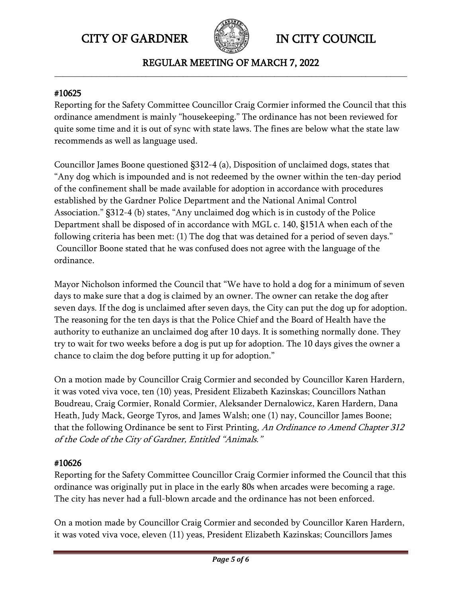

REGULAR MEETING OF MARCH 7, 2022 **\_\_\_\_\_\_\_\_\_\_\_\_\_\_\_\_\_\_\_\_\_\_\_\_\_\_\_\_\_\_\_\_\_\_\_\_\_\_\_\_\_\_\_\_\_\_\_\_\_\_\_\_\_\_\_\_\_\_\_\_\_\_\_\_\_\_\_\_\_\_\_\_\_\_\_\_\_\_\_\_\_\_\_\_\_**

### #10625

Reporting for the Safety Committee Councillor Craig Cormier informed the Council that this ordinance amendment is mainly "housekeeping." The ordinance has not been reviewed for quite some time and it is out of sync with state laws. The fines are below what the state law recommends as well as language used.

Councillor James Boone questioned §312-4 (a), Disposition of unclaimed dogs, states that "Any dog which is impounded and is not redeemed by the owner within the ten-day period of the confinement shall be made available for adoption in accordance with procedures established by the Gardner Police Department and the National Animal Control Association." §312-4 (b) states, "Any unclaimed dog which is in custody of the Police Department shall be disposed of in accordance with MGL c. 140, §151A when each of the following criteria has been met: (1) The dog that was detained for a period of seven days." Councillor Boone stated that he was confused does not agree with the language of the ordinance.

Mayor Nicholson informed the Council that "We have to hold a dog for a minimum of seven days to make sure that a dog is claimed by an owner. The owner can retake the dog after seven days. If the dog is unclaimed after seven days, the City can put the dog up for adoption. The reasoning for the ten days is that the Police Chief and the Board of Health have the authority to euthanize an unclaimed dog after 10 days. It is something normally done. They try to wait for two weeks before a dog is put up for adoption. The 10 days gives the owner a chance to claim the dog before putting it up for adoption."

On a motion made by Councillor Craig Cormier and seconded by Councillor Karen Hardern, it was voted viva voce, ten (10) yeas, President Elizabeth Kazinskas; Councillors Nathan Boudreau, Craig Cormier, Ronald Cormier, Aleksander Dernalowicz, Karen Hardern, Dana Heath, Judy Mack, George Tyros, and James Walsh; one (1) nay, Councillor James Boone; that the following Ordinance be sent to First Printing, An Ordinance to Amend Chapter 312 of the Code of the City of Gardner, Entitled "Animals."

### #10626

Reporting for the Safety Committee Councillor Craig Cormier informed the Council that this ordinance was originally put in place in the early 80s when arcades were becoming a rage. The city has never had a full-blown arcade and the ordinance has not been enforced.

On a motion made by Councillor Craig Cormier and seconded by Councillor Karen Hardern, it was voted viva voce, eleven (11) yeas, President Elizabeth Kazinskas; Councillors James